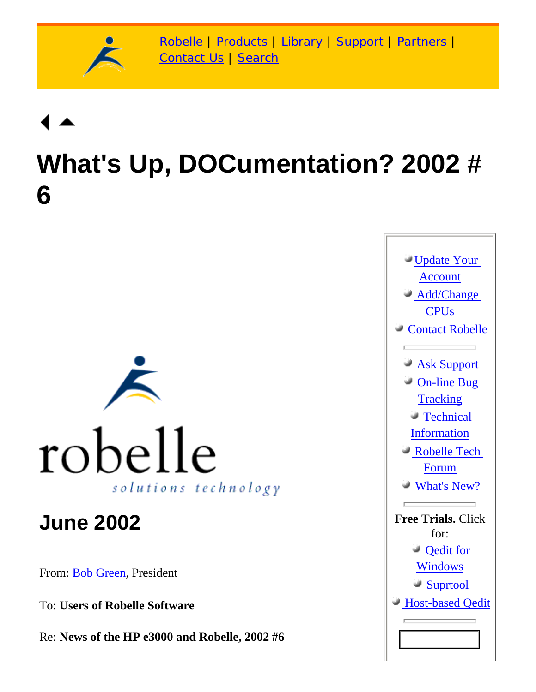

[Robelle](http://www.robelle.com/) | [Products](http://www.robelle.com/products/) | [Library](http://www.robelle.com/library/) | [Support](http://www.robelle.com/support/) | [Partners](http://www.robelle.com/partners/) | [Contact Us](http://www.robelle.com/contactus.html) | [Search](http://www.robelle.com/AT-search.html)

# **What's Up, DOCumentation? 2002 # 6**



### **June 2002**

From: [Bob Green,](http://www.robelle.com/robelle.html#bob) President

To: **Users of Robelle Software**

Re: **News of the HP e3000 and Robelle, 2002 #6**

[Update Your](http://www.robelle.com/forms/updaccount.html) [Account](http://www.robelle.com/forms/updaccount.html)  [Add/Change](http://www.robelle.com/forms/updaccount.html#generalchanges)  **CPU<sub>s</sub>**  [Contact Robelle](http://www.robelle.com/contactus.html)  [Ask Support](http://www.robelle.com/forms/bugreport.html)  [On-line Bug](http://www.robelle.com/AT-kbs.html) **[Tracking](http://www.robelle.com/AT-kbs.html)**  [Technical](http://www.robelle.com/support/) **[Information](http://www.robelle.com/support/)**  [Robelle Tech](http://www.robelle.com/support/robelle-l.html) [Forum](http://www.robelle.com/support/robelle-l.html)  [What's New?](http://www.robelle.com/products/whatsnew.html) **Free Trials.** Click for:  [Qedit for](http://www.robelle.com/products/qwin/info.html)  [Windows](http://www.robelle.com/products/qwin/info.html)  [Suprtool](http://www.robelle.com/forms/info-st.html) **Host-based Oedit**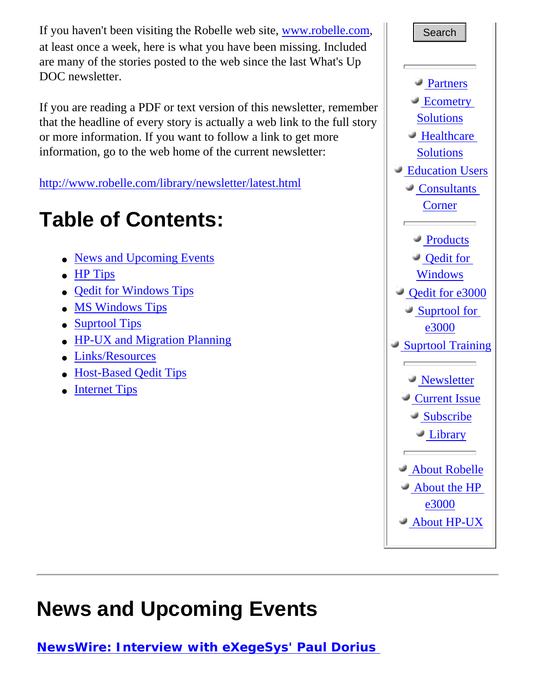If you haven't been visiting the Robelle web site, [www.robelle.com](http://www.robelle.com/), at least once a week, here is what you have been missing. Included are many of the stories posted to the web since the last What's Up DOC newsletter.

If you are reading a PDF or text version of this newsletter, remember that the headline of every story is actually a web link to the full story or more information. If you want to follow a link to get more information, go to the web home of the current newsletter:

<http://www.robelle.com/library/newsletter/latest.html>

## **Table of Contents:**

- [News and Upcoming Events](#page-1-0)
- [HP Tips](#page-2-0)
- **[Qedit for Windows Tips](#page-3-0)**
- [MS Windows Tips](#page-3-1)
- [Suprtool Tips](#page-4-0)
- [HP-UX and Migration Planning](#page-4-1)
- [Links/Resources](#page-4-2)
- [Host-Based Qedit Tips](#page-5-0)
- **[Internet Tips](#page-6-0)**



### <span id="page-1-0"></span>**News and Upcoming Events**

**[NewsWire: Interview with eXegeSys' Paul Dorius](http://www.3kworld.com/newsroom.asp?sit_PK=67&appmode=itemDetail&news_pk=4201)**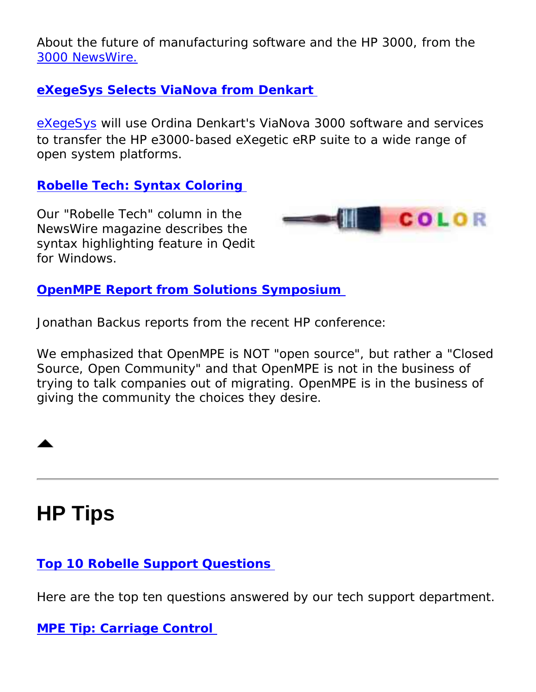About the future of manufacturing software and the HP 3000, from the [3000 NewsWire.](http://www.3000newswire.com/)

#### **[eXegeSys Selects ViaNova from Denkart](http://www.denkart.com/news/news220502.htm)**

[eXegeSys](http://www.exegesys.com/) will use Ordina Denkart's ViaNova 3000 software and services to transfer the HP e3000-based eXegetic eRP suite to a wide range of open system platforms.

### **[Robelle Tech: Syntax Coloring](http://www.3kworld.com/newsroom.asp?sit_PK=67&appmode=itemDetail&news_pk=4204)**

Our "Robelle Tech" column in the *NewsWire* magazine describes the syntax highlighting feature in Qedit for Windows.



#### **[OpenMPE Report from Solutions Symposium](http://www.3kworld.com/newsroom.asp?appmode=itemDetail&news_PK=4098)**

Jonathan Backus reports from the recent HP conference:

*We emphasized that OpenMPE is NOT "open source", but rather a "Closed Source, Open Community" and that OpenMPE is not in the business of trying to talk companies out of migrating. OpenMPE is in the business of giving the community the choices they desire.* 

### <span id="page-2-0"></span>**HP Tips**

### **[Top 10 Robelle Support Questions](http://www.robelle.com/support/topten.html)**

Here are the top ten questions answered by our tech support department.

#### **[MPE Tip: Carriage Control](http://www.robelle.com/library/smugbook/cctl.html)**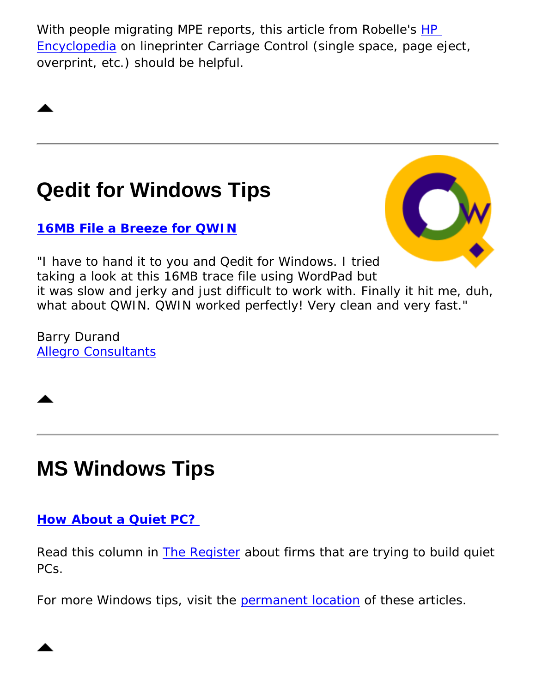With people migrating MPE reports, this article from Robelle's HP [Encyclopedia](http://www.robelle.com/library/smugbook/) on lineprinter Carriage Control (single space, page eject, overprint, etc.) should be helpful.

### <span id="page-3-0"></span>**Qedit for Windows Tips**

**[16MB File a Breeze for QWIN](http://www.robelle.com/products/qwin/plugs.html#newplugs)**



"I have to hand it to you and Qedit for Windows. I tried taking a look at this 16MB trace file using WordPad but it was slow and jerky and just difficult to work with. Finally it hit me, duh, what about QWIN. QWIN worked perfectly! Very clean and very fast."

Barry Durand [Allegro Consultants](http://www.allegro.com/)



## <span id="page-3-1"></span>**MS Windows Tips**

### **[How About a Quiet PC?](http://www.theregister.co.uk/content/35/25470.html)**

Read this column in [The Register](http://www.theregister.co.uk/) about firms that are trying to build quiet PCs.

For more Windows tips, visit the [permanent location](http://www.robelle.com/tips/windows.html) of these articles.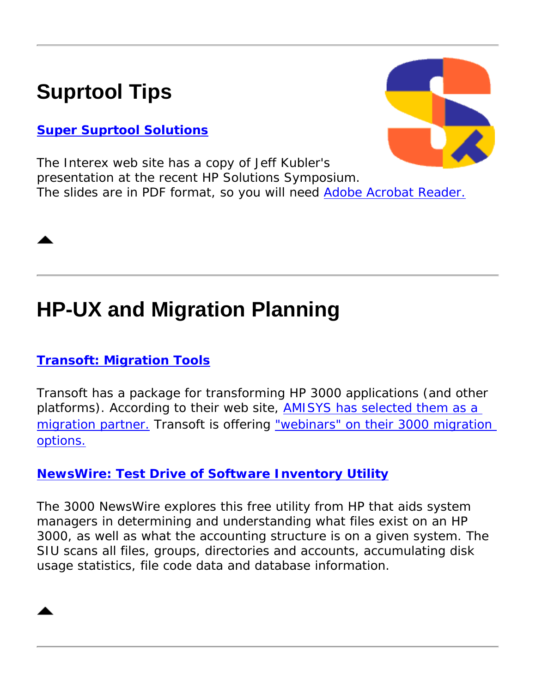## <span id="page-4-0"></span>**Suprtool Tips**

### **[Super Suprtool Solutions](ftp://ftp.interex.org/pub/conference/e3000SolSym/048.pdf)**



The Interex web site has a copy of Jeff Kubler's presentation at the recent HP Solutions Symposium. The slides are in PDF format, so you will need [Adobe Acrobat Reader.](http://www.adobe.com/products/acrobat/readstep2.html)

## <span id="page-4-1"></span>**HP-UX and Migration Planning**

### **[Transoft: Migration Tools](http://www.transoft.com/)**

Transoft has a package for transforming HP 3000 applications (and other platforms). According to their web site, [AMISYS has selected them as a](http://www.transoft.com/news/amisys_annouce.htm) [migration partner.](http://www.transoft.com/news/amisys_annouce.htm) Transoft is offering ["webinars" on their 3000 migration](http://www.transoft.com/news/hp_webinar.htm) [options.](http://www.transoft.com/news/hp_webinar.htm)

### **[NewsWire: Test Drive of Software Inventory Utility](http://www.3kworld.com/newsroom.asp?appmode=itemDetail&news_PK=4118)**

The 3000 NewsWire explores this free utility from HP that *aids system managers in determining and understanding what files exist on an HP 3000, as well as what the accounting structure is on a given system. The SIU scans all files, groups, directories and accounts, accumulating disk usage statistics, file code data and database information.* 

<span id="page-4-2"></span>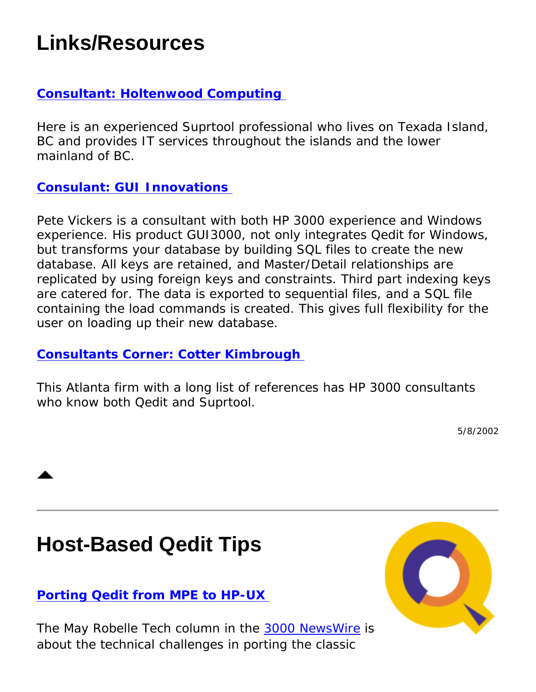### **Links/Resources**

### **[Consultant: Holtenwood Computing](http://www.robelle.com/consultants.html#Holtenwood)**

Here is an experienced Suprtool professional who lives on Texada Island, BC and provides IT services throughout the islands and the lower mainland of BC.

#### **[Consulant: GUI Innovations](http://www.robelle.com/consultants.html#GUI Innovations)**

Pete Vickers is a consultant with both HP 3000 experience and Windows experience. His product GUI3000, not only integrates Qedit for Windows, but *transforms your database by building SQL files to create the new database. All keys are retained, and Master/Detail relationships are replicated by using foreign keys and constraints. Third part indexing keys are catered for. The data is exported to sequential files, and a SQL file containing the load commands is created. This gives full flexibility for the user on loading up their new database.*

#### **[Consultants Corner: Cotter Kimbrough](http://www.robelle.com/consultants.html#Cotter)**

This Atlanta firm with a long list of references has HP 3000 consultants who know both Qedit and Suprtool.

5/8/2002

### <span id="page-5-0"></span>**Host-Based Qedit Tips**

### **[Porting Qedit from MPE to HP-UX](http://www.3kworld.com/newsroom.asp?sit_PK=67&appmode=itemDetail&news_pk=4203)**

The May *Robelle Tech* column in the [3000 NewsWire](http://www.3000newswire.com/) is about the technical challenges in porting the classic

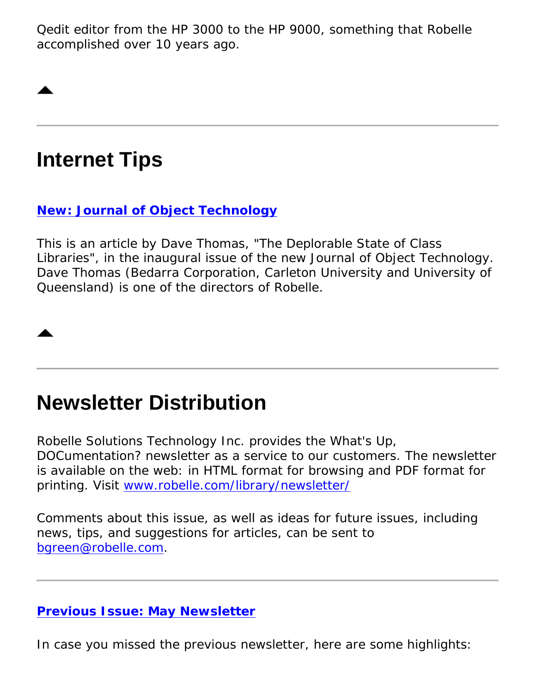Qedit editor from the HP 3000 to the HP 9000, something that Robelle accomplished over 10 years ago.

### <span id="page-6-0"></span>**Internet Tips**

### **[New: Journal of Object Technology](http://www.jot.fm/issues/issue_2002_05/column2)**

This is an article by Dave Thomas, "The Deplorable State of Class Libraries", in the inaugural issue of the new *Journal of Object Technology.* Dave Thomas (Bedarra Corporation, Carleton University and University of Queensland) is one of the directors of Robelle.

### **Newsletter Distribution**

Robelle Solutions Technology Inc. provides the *What's Up, DOCumentation?* newsletter as a service to our customers. The newsletter is available on the web: in HTML format for browsing and PDF format for printing. Visit [www.robelle.com/library/newsletter/](http://www.robelle.com/library/newsletter/)

Comments about this issue, as well as ideas for future issues, including news, tips, and suggestions for articles, can be sent to [bgreen@robelle.com](mailto:bgreen@robelle.com).

### **[Previous Issue: May Newsletter](http://www.robelle.com/library/newsletter/w2002-05.html)**

In case you missed the previous newsletter, here are some highlights: